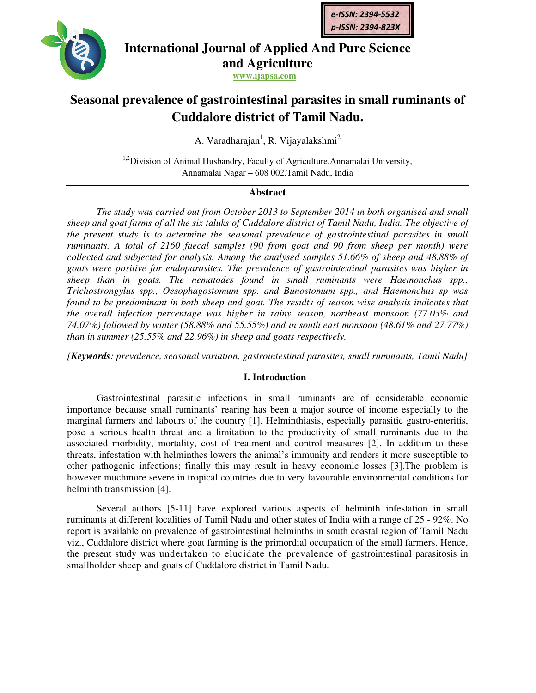



# **International Journal of Applied And Pure Science and Agriculture**

**www.ijapsa.com**

# **Seasonal prevalence of gastrointestinal parasites in small ruminants of gastrointestinal parasites of Tamil Nadu.Cuddalore district of Tamil Nadu.**

A. Varadharajan<sup>1</sup>, R. Vijayalakshmi<sup>2</sup>

<sup>1,2</sup>Division of Animal Husbandry, Faculty of Agriculture, Annamalai University, Annamalai Nagar – 608 002.Tamil Nadu, India

# **Abstract**

*The study was carried out from October 2013 to September 2014 in both organised and small sheep and goat farms of all the six taluks of carried in farms Cuddalore district of Tamil Nadu, India. The objective of the present study is to determine the seasonal prevalence of gastrointestinal parasites in small ruminants. A total of 2160 faecal samples (90 from goat and 90 from sheep per month) were collected and subjected for analysis. Among the analysed samples 51.66% of sheep and 48.88% of goats were positive for endoparasites. The prevalence of gastrointestina* sheep than in goats. The nematodes found in small ruminants were Haemonch Trichostrongylus spp., Oesophagostomum spp. and Bunostomum spp., and Haemonchus sp was *found to be predominant in both sheep and goat. The results of season wise analysis indicates that*  found to be predominant in both sheep and goat. The results of season wise analysis indicates that<br>the overall infection percentage was higher in rainy season, northeast monsoon (77.03% and *74.07%) followed by winter (58.88% and 55.55% 58.88% 55.55%) and in south east monsoon (48.61% and 27.77%) than in summer (25.55% and 22.96%) in sheep and goats respectively. found to be predominant in both sheep and goat. The results of season wise analysis indicates that*<br>*the overall infection percentage was higher in rainy season, northeast monsoon (77.03% and*<br>74.07%) *followed by winter st* study is to determine the seasonal prevalence of gastrointestinal parasites in small A total of 2160 faecal samples (90 from goat and 90 from sheep per month) were nd subjected for analysis. Among the analysed samples *study was carried out from October 2013 to September 2014 in both organised and small oat farms of all the six taluks of Cuddalore district of Tamil Nadu, India. The objective of study is to determine the seasonal prevale* 

## **I. Introduction**

Gastrointestinal parasitic infections in small ruminants are of considerable economic importance because small ruminants' rearing has been a major source of income especially to the marginal farmers and labours of the country [1]. Helminthiasis, especially parasitic gastro-enteritis, pose a serious health threat and a limitation to the productivity of small ruminants due to the pose a serious health threat and a limitation to the productivity of small ruminants due to the associated morbidity, mortality, cost of treatment and control measures [2]. In addition to these threats, infestation with helminthes lowers the animal's immunity and renders it more susceptible to other pathogenic infections; finally this may result in heavy economic losses [3].The problem is threats, infestation with helminthes lowers the animal's immunity and renders it more susceptible to other pathogenic infections; finally this may result in heavy economic losses [3]. The problem is however muchmore severe helminth transmission [4]. pose a serious health threat and a limitation to the productivity of small ruminants due to the associated morbidity, mortality, cost of treatment and control measures [2]. In addition to these threats, infestation with he

Several authors [5-11] have explored various aspects of helminth infestation in small Several authors [5-11] have explored various aspects of helminth infestation in small ruminants at different localities of Tamil Nadu and other states of India with a range of 25 - 92%. No report is available on prevalence of gastrointestinal helminths in south coastal region of Tamil Nadu report is available on prevalence of gastrointestinal helminths in south coastal region of Tamil Nadu<br>viz., Cuddalore district where goat farming is the primordial occupation of the small farmers. Hence, the present study was undertaken to elucidate the prevalence of gastrointestinal parasitosis in smallholder sheep and goats of Cuddalore district in Tamil Nadu.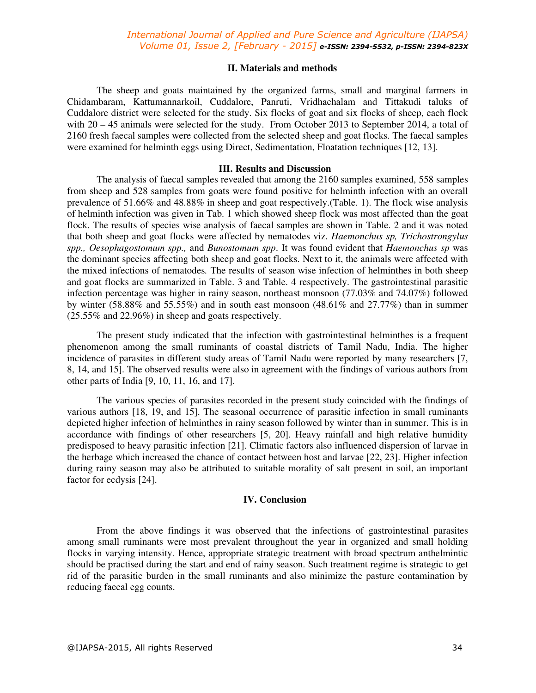## *International Journal of Applied and Pure Science and Agriculture (IJAPSA) Volume 01, Issue 2, [February - 2015] e-ISSN: 2394-5532, p-ISSN: 2394-823X*

#### **II. Materials and methods**

The sheep and goats maintained by the organized farms, small and marginal farmers in Chidambaram, Kattumannarkoil, Cuddalore, Panruti, Vridhachalam and Tittakudi taluks of Cuddalore district were selected for the study. Six flocks of goat and six flocks of sheep, each flock with  $20 - 45$  animals were selected for the study. From October 2013 to September 2014, a total of 2160 fresh faecal samples were collected from the selected sheep and goat flocks. The faecal samples were examined for helminth eggs using Direct, Sedimentation, Floatation techniques [12, 13].

#### **III. Results and Discussion**

The analysis of faecal samples revealed that among the 2160 samples examined, 558 samples from sheep and 528 samples from goats were found positive for helminth infection with an overall prevalence of 51.66% and 48.88% in sheep and goat respectively.(Table. 1). The flock wise analysis of helminth infection was given in Tab. 1 which showed sheep flock was most affected than the goat flock. The results of species wise analysis of faecal samples are shown in Table. 2 and it was noted that both sheep and goat flocks were affected by nematodes viz. *Haemonchus sp, Trichostrongylus spp., Oesophagostomum spp.,* and *Bunostomum spp*. It was found evident that *Haemonchus sp* was the dominant species affecting both sheep and goat flocks. Next to it, the animals were affected with the mixed infections of nematodes*.* The results of season wise infection of helminthes in both sheep and goat flocks are summarized in Table. 3 and Table. 4 respectively. The gastrointestinal parasitic infection percentage was higher in rainy season, northeast monsoon (77.03% and 74.07%) followed by winter (58.88% and 55.55%) and in south east monsoon (48.61% and 27.77%) than in summer (25.55% and 22.96%) in sheep and goats respectively.

The present study indicated that the infection with gastrointestinal helminthes is a frequent phenomenon among the small ruminants of coastal districts of Tamil Nadu, India. The higher incidence of parasites in different study areas of Tamil Nadu were reported by many researchers [7, 8, 14, and 15]. The observed results were also in agreement with the findings of various authors from other parts of India [9, 10, 11, 16, and 17].

The various species of parasites recorded in the present study coincided with the findings of various authors [18, 19, and 15]. The seasonal occurrence of parasitic infection in small ruminants depicted higher infection of helminthes in rainy season followed by winter than in summer. This is in accordance with findings of other researchers [5, 20]. Heavy rainfall and high relative humidity predisposed to heavy parasitic infection [21]. Climatic factors also influenced dispersion of larvae in the herbage which increased the chance of contact between host and larvae [22, 23]. Higher infection during rainy season may also be attributed to suitable morality of salt present in soil, an important factor for ecdysis [24].

## **IV. Conclusion**

From the above findings it was observed that the infections of gastrointestinal parasites among small ruminants were most prevalent throughout the year in organized and small holding flocks in varying intensity. Hence, appropriate strategic treatment with broad spectrum anthelmintic should be practised during the start and end of rainy season. Such treatment regime is strategic to get rid of the parasitic burden in the small ruminants and also minimize the pasture contamination by reducing faecal egg counts.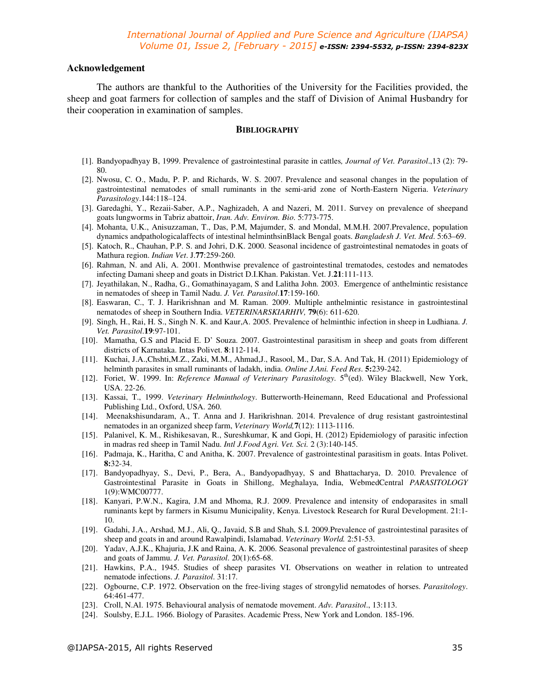#### **Acknowledgement**

The authors are thankful to the Authorities of the University for the Facilities provided, the sheep and goat farmers for collection of samples and the staff of Division of Animal Husbandry for their cooperation in examination of samples.

### **BIBLIOGRAPHY**

- [1]. Bandyopadhyay B, 1999. Prevalence of gastrointestinal parasite in cattles*, Journal of Vet. Parasitol*.,13 (2): 79- 80.
- [2]. Nwosu, C. O., Madu, P. P. and Richards, W. S. 2007. Prevalence and seasonal changes in the population of gastrointestinal nematodes of small ruminants in the semi-arid zone of North-Eastern Nigeria. *Veterinary Parasitology*.144:118–124.
- [3]. Garedaghi, Y., Rezaii-Saber, A.P., Naghizadeh, A and Nazeri, M. 2011. Survey on prevalence of sheepand goats lungworms in Tabriz abattoir, *Iran. Adv. Environ. Bio*. 5:773-775.
- [4]. Mohanta, U.K., Anisuzzaman, T., Das, P.M, Majumder, S. and Mondal, M.M.H. 2007.Prevalence, population dynamics andpathologicalaffects of intestinal helminthsinBlack Bengal goats. *Bangladesh J. Vet. Med*. 5:63–69.
- [5]. Katoch, R., Chauhan, P.P. S. and Johri, D.K. 2000. Seasonal incidence of gastrointestinal nematodes in goats of Mathura region. *Indian Vet*. J.**77**:259-260.
- [6]. Rahman, N. and Ali, A. 2001. Monthwise prevalence of gastrointestinal trematodes, cestodes and nematodes infecting Damani sheep and goats in District D.I.Khan. Pakistan. Vet. J.**21**:111-113.
- [7]. Jeyathilakan, N., Radha, G., Gomathinayagam, S and Lalitha John. 2003. Emergence of anthelmintic resistance in nematodes of sheep in Tamil Nadu. *J. Vet. Parasitol*.**17**:159-160.
- [8]. Easwaran, C., T. J. Harikrishnan and M. Raman. 2009. Multiple anthelmintic resistance in gastrointestinal nematodes of sheep in Southern India. *VETERINARSKIARHIV,* **79**(6): 611-620.
- [9]. Singh, H., Rai, H. S., Singh N. K. and Kaur,A. 2005. Prevalence of helminthic infection in sheep in Ludhiana. *J. Vet. Parasitol*.**19**:97-101.
- [10]. Mamatha, G.S and Placid E. D' Souza. 2007. Gastrointestinal parasitism in sheep and goats from different districts of Karnataka. Intas Polivet. **8**:112-114.
- [11]. Kuchai, J.A.,Chshti,M.Z., Zaki, M.M., Ahmad,J., Rasool, M., Dar, S.A. And Tak, H. (2011) Epidemiology of helminth parasites in small ruminants of ladakh, india. *Online J.Ani. Feed Res*. **5:**239-242.
- [12]. Foriet, W. 1999. In: *Reference Manual of Veterinary Parasitology.* 5<sup>th</sup>(ed). Wiley Blackwell, New York, USA. 22-26.
- [13]. Kassai, T., 1999. *Veterinary Helminthology*. Butterworth-Heinemann, Reed Educational and Professional Publishing Ltd., Oxford, USA. 260.
- [14]. Meenakshisundaram, A., T. Anna and J. Harikrishnan. 2014. Prevalence of drug resistant gastrointestinal nematodes in an organized sheep farm, *Veterinary World,***7**(12): 1113-1116.
- [15]. Palanivel, K. M., Rishikesavan, R., Sureshkumar, K and Gopi, H. (2012) Epidemiology of parasitic infection in madras red sheep in Tamil Nadu. *Intl J.Food Agri. Vet. Sci.* 2 (3):140-145.
- [16]. Padmaja, K., Haritha, C and Anitha, K. 2007. Prevalence of gastrointestinal parasitism in goats. Intas Polivet. **8:**32-34.
- [17]. Bandyopadhyay, S., Devi, P., Bera, A., Bandyopadhyay, S and Bhattacharya, D. 2010. Prevalence of Gastrointestinal Parasite in Goats in Shillong, Meghalaya, India, WebmedCentral *PARASITOLOGY*  1(9):WMC00777.
- [18]. Kanyari, P.W.N., Kagira, J.M and Mhoma, R.J. 2009. Prevalence and intensity of endoparasites in small ruminants kept by farmers in Kisumu Municipality, Kenya. Livestock Research for Rural Development. 21:1- 10.
- [19]. Gadahi, J.A., Arshad, M.J., Ali, Q., Javaid, S.B and Shah, S.I. 2009.Prevalence of gastrointestinal parasites of sheep and goats in and around Rawalpindi, Islamabad. *Veterinary World.* 2:51-53.
- [20]. Yadav, A.J.K., Khajuria, J.K and Raina, A. K. 2006. Seasonal prevalence of gastrointestinal parasites of sheep and goats of Jammu. *J. Vet. Parasitol*. 20(1):65-68.
- [21]. Hawkins, P.A., 1945. Studies of sheep parasites VI. Observations on weather in relation to untreated nematode infections. *J. Parasitol*. 31:17.
- [22]. Ogbourne, C.P. 1972. Observation on the free-living stages of strongylid nematodes of horses. *Parasitology*. 64:461-477.
- [23]. Croll, N.Al. 1975. Behavioural analysis of nematode movement. *Adv. Parasitol*., 13:113.
- [24]. Soulsby, E.J.L. 1966. Biology of Parasites. Academic Press, New York and London. 185-196.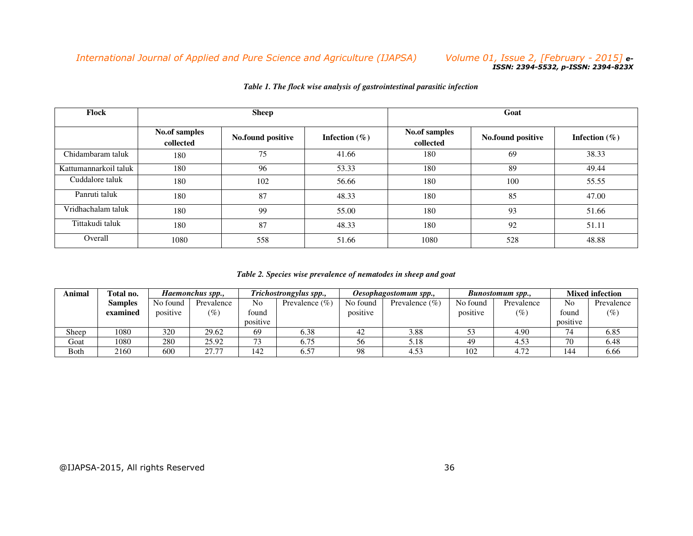# *International Journal of Applied and Pure Science and Agriculture (IJAPSA)*

#### *Volume 01, Issue 2, [February - 2015] e-ISSN: 2394-5532, p-ISSN: 2394-823X*

| Flock                 |                            | <b>Sheep</b>      |                  | Goat                       |                   |                  |  |  |
|-----------------------|----------------------------|-------------------|------------------|----------------------------|-------------------|------------------|--|--|
|                       | No.of samples<br>collected | No.found positive | Infection $(\%)$ | No.of samples<br>collected | No.found positive | Infection $(\%)$ |  |  |
| Chidambaram taluk     | 180                        | 75                | 41.66            | 180                        | 69                | 38.33            |  |  |
| Kattumannarkoil taluk | 180                        | 96                | 53.33            | 180                        | 89                | 49.44            |  |  |
| Cuddalore taluk       | 180                        | 102               | 56.66            | 180                        | 100               | 55.55            |  |  |
| Panruti taluk         | 180                        | 87                | 48.33            | 180                        | 85                | 47.00            |  |  |
| Vridhachalam taluk    | 180                        | 99                | 55.00            | 180                        | 93                | 51.66            |  |  |
| Tittakudi taluk       | 180                        | 87                | 48.33            | 180                        | 92                | 51.11            |  |  |
| Overall               | 1080                       | 558               | 51.66            | 1080                       | 528               | 48.88            |  |  |

#### *Table 1. The flock wise analysis of gastrointestinal parasitic infection*

#### *Table 2. Species wise prevalence of nematodes in sheep and goat*

| Animal      | Total no.      | Haemonchus spp., |            | Trichostrongylus spp., |                    | Oesophagostomum spp., |                    | <b>Bunostomum spp.,</b> |            | <b>Mixed infection</b> |            |
|-------------|----------------|------------------|------------|------------------------|--------------------|-----------------------|--------------------|-------------------------|------------|------------------------|------------|
|             | <b>Samples</b> | No found         | Prevalence | No                     | Prevalence $(\% )$ | No found              | Prevalence $(\% )$ | No found                | Prevalence | No                     | Prevalence |
|             | examined       | positive         | $(\%)$     | found                  |                    | positive              |                    | positive                | $(\%)$     | found                  | $(\%)$     |
|             |                |                  |            | positive               |                    |                       |                    |                         |            | positive               |            |
| Sheep       | 1080           | 320              | 29.62      | 69                     | 6.38               | 42                    | 3.88               | 53                      | 4.90       | 74                     | 6.85       |
| Goat        | 1080           | 280              | 25.92      |                        | 6.75               | 56                    | 5.18               | 49                      | 4.53       | 70                     | 6.48       |
| <b>Both</b> | 2160           | 600              | 27.77      | 142                    | 6.57               | 98                    | 4.53               | 102                     | 4.72       | 144                    | 6.66       |